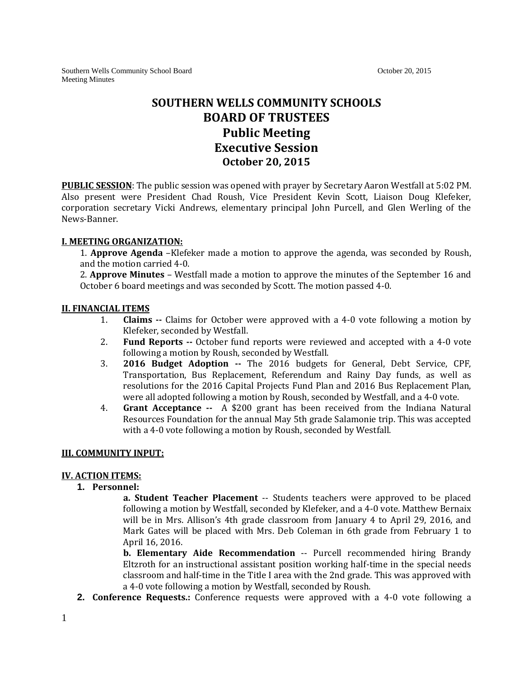Southern Wells Community School Board **October 20, 2015** October 20, 2015 Meeting Minutes

# **SOUTHERN WELLS COMMUNITY SCHOOLS BOARD OF TRUSTEES Public Meeting Executive Session October 20, 2015**

**PUBLIC SESSION**: The public session was opened with prayer by Secretary Aaron Westfall at 5:02 PM. Also present were President Chad Roush, Vice President Kevin Scott, Liaison Doug Klefeker, corporation secretary Vicki Andrews, elementary principal John Purcell, and Glen Werling of the News-Banner.

### **I. MEETING ORGANIZATION:**

1. **Approve Agenda** –Klefeker made a motion to approve the agenda, was seconded by Roush, and the motion carried 4-0.

2. **Approve Minutes** – Westfall made a motion to approve the minutes of the September 16 and October 6 board meetings and was seconded by Scott. The motion passed 4-0.

### **II. FINANCIAL ITEMS**

- 1. **Claims --** Claims for October were approved with a 4-0 vote following a motion by Klefeker, seconded by Westfall.
- 2. **Fund Reports --** October fund reports were reviewed and accepted with a 4-0 vote following a motion by Roush, seconded by Westfall.
- 3. **2016 Budget Adoption --** The 2016 budgets for General, Debt Service, CPF, Transportation, Bus Replacement, Referendum and Rainy Day funds, as well as resolutions for the 2016 Capital Projects Fund Plan and 2016 Bus Replacement Plan, were all adopted following a motion by Roush, seconded by Westfall, and a 4-0 vote.
- 4. **Grant Acceptance --** A \$200 grant has been received from the Indiana Natural Resources Foundation for the annual May 5th grade Salamonie trip. This was accepted with a 4-0 vote following a motion by Roush, seconded by Westfall.

### **III. COMMUNITY INPUT:**

### **IV. ACTION ITEMS:**

### **1. Personnel:**

**a. Student Teacher Placement** -- Students teachers were approved to be placed following a motion by Westfall, seconded by Klefeker, and a 4-0 vote. Matthew Bernaix will be in Mrs. Allison's 4th grade classroom from January 4 to April 29, 2016, and Mark Gates will be placed with Mrs. Deb Coleman in 6th grade from February 1 to April 16, 2016.

**b. Elementary Aide Recommendation** -- Purcell recommended hiring Brandy Eltzroth for an instructional assistant position working half-time in the special needs classroom and half-time in the Title I area with the 2nd grade. This was approved with a 4-0 vote following a motion by Westfall, seconded by Roush.

**2. Conference Requests.:** Conference requests were approved with a 4-0 vote following a